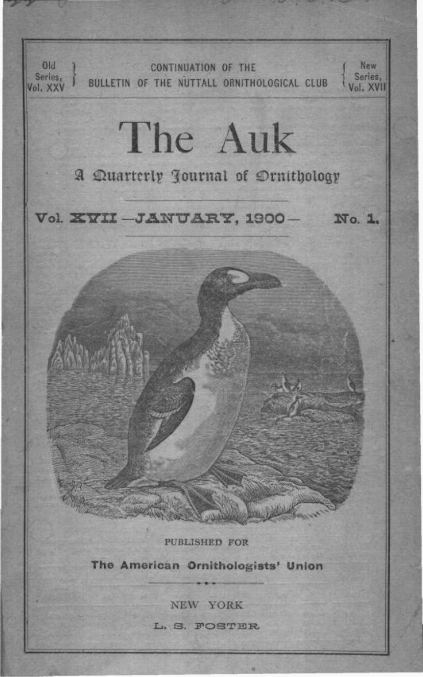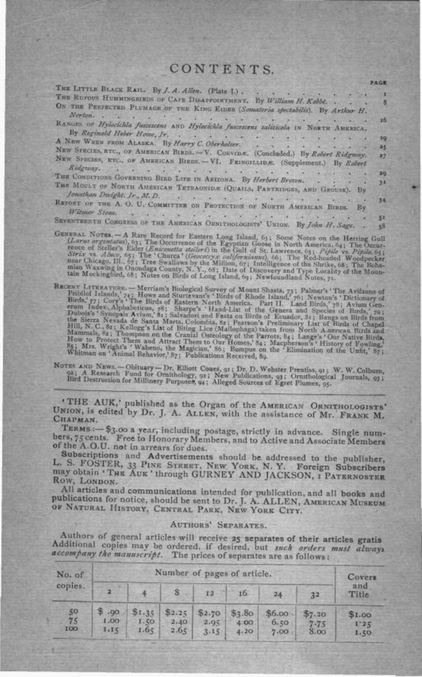## CONTENTS.

PAGE

| THE LITTLE BLACK RAIL. By J. A. Allen. (Plate L.).                                                                                                         |    |
|------------------------------------------------------------------------------------------------------------------------------------------------------------|----|
| <b>TOTAL</b><br>and the second design to the con-                                                                                                          |    |
| THE RUFOUS HUMMINGBIRDS OF CAFE DISAPPOINTMENT. By William H. Kobbe. .<br>ON THE PERFECTED PLUMAGE OF THE KING EIDER (Samateria spectabilis). By Arthur H. |    |
| Norton.<br>All control of the control of<br>contact the first and the second fact                                                                          | 15 |
| RANGES OF Hylocichla fuscescens AND Hylocichla fuscescens salicicola IN NORTH AMERICA.<br>By Reginald Heber Howe, Jr.                                      |    |
| A REAL PROPERTY AND REAL                                                                                                                                   | 19 |
| A NEW WEEN FROM ALASKA, By Harry C. Oberholter.                                                                                                            | 25 |
| NEW SPECIES, ETC., OF AMERICAN BIRDS. - V. CORVIDE. (Concluded.) By Robert Ridgway.                                                                        | 27 |
| NEW SPECIES, RTC., OF AMERICAN BIRDS. - VI. FRINGILLIDE. (Supplement.) By Robert<br>Ridgeouy. The common the state of the common the                       |    |
| THE CONDITIONS GOVERNING BIRD LIFE IN ARIZONA. By Herbert Brown.                                                                                           | 29 |
| THE MOULT OF NORTH AMERICAN TETRAONIDE (QUALLS, PARTRIDGES, AND GROUSE). By<br>fonathan Dwight, Jr., M.D.                                                  | 30 |
| REPORT OF THE A. O. U. COMMITTEE ON PROTECTION OF NORTH AMERICAN BIRDS. By<br>Witmer Stone.                                                                | 34 |
| and back and the man of the second                                                                                                                         | 当社 |
| SEVENTEENTH CONGRESS OF THE AMERICAN ORNITHOLOGISTS' UNION. By John H. Sage.                                                                               | 58 |
|                                                                                                                                                            |    |

- NERAL NOTES. -- A Rare Record for Eastern Long Island, 63; Some Notes on the Herring Gull (Larne argentatus), 63; The Occurrence of the Egyptian Goose in North America, 64; The Occurrence of Steller's Eider (*Encientation*
- RECENT LITERATURE Merriam's Biological Survey of Mount Shasta, 73; Palmer's 'The Avifauna of Pribliof Islands,' 74; Howe and Sturtevant's 'Birds of Rhode Island,' 76; Newton's 'Dictionary of Birds,' 77; Cory's 'The Bird

NOTES AND Nuws. -- Obituary -- Dr. Elliott Coues, 91; Dr. D. Webster Prentiss, 91; W. W. Colburn, 92; A Research Fund for Ornithology, 92; New Publications, 93; Ornithological Journals, 93; Bird Destruction for Millinery P

'THE AUK,' published as the Organ of the AMERICAN ORNITHOLOGISTS' UNION, Is edited by Dr. J. A. ALLEN, with the assistance of Mr. FRANK M. СНАРМАН.

TERMS :- \$3.00 a year, including postage, strictly in advance. Single numbers, 75 cents. Free to Honorary Members, and to Active and Associate Members of the A.O.U. not in arrears for dues.

Subscriptions and Advertisements should be addressed to the publisher, L. S. FOSTER, 33 PINE STREET, NEW YORK, N. Y. Foreign Subscribers may obtain 'THE AUK' through GURNEY AND JACKSON, I PATERNOSTER ROW, LONDON.

All articles and communications intended for publication, and all books and publications for notice, should be sent to Dr. J. A. ALLEN, AMERICAN MUSEUM OF NATURAL HISTORY, CENTRAL PARK, NEW YORK CITY.

#### AUTHORS' SEPARATES.

Authors of general articles will receive 25 separates of their articles gratis Additional copies may be ordered, if desired, but such orders must always accompany the manuscript. The prices of separates are as follows:

| No. of<br>copies.<br>50<br>75<br>100 | Number of pages of article. |                        |                        |              |                                |                           |                           |                        |  |  |  |
|--------------------------------------|-----------------------------|------------------------|------------------------|--------------|--------------------------------|---------------------------|---------------------------|------------------------|--|--|--|
|                                      |                             |                        | $\mathbf{s}$           | 12           | 16                             | $^{24}$                   | 32                        | and<br>Title           |  |  |  |
|                                      | 90.8<br><b>CO.1</b><br>1.15 | \$1.35<br>1.50<br>1.65 | \$2.25<br>2,40<br>2.65 | 2.95<br>3.15 | $$2.70$ \$3.80<br>4:00<br>4.20 | $$6.00 -$<br>6.50<br>7.00 | 37.20<br>$7 - 75$<br>8.00 | \$1.00<br>1.35<br>1.50 |  |  |  |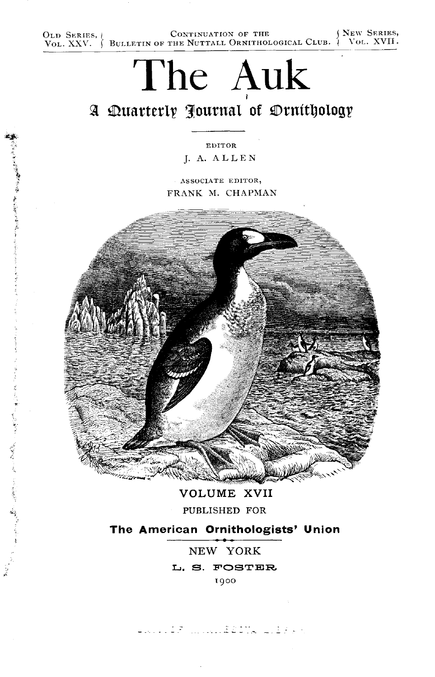OLD SERIES,  $\{$  CONTINUATION OF THE  $\{$  NEW SERIES,  $V_{\text{OL}}$ , XXV.  $\}$  BULLETIN OF THE NUTTALL ORNITHOLOGICAL CLUB.  $\{$  VOL. XVII.

# The Auk

## A Quarterly Journal of Drnithology

EDITOR J. A. ALLEN

ASSOCIATE EDITOR, FRANK M. CHAPMAN

化甲乙烯医甲基甲基苯甲基 医前置于舌部的第三人称单数

医无神经麻痹 医腹股沟炎 医前鼻下颌骨的第三



**VOLUME XVII** 

PUBLISHED FOR

### The American Ornithologists' Union

NEW YORK L. S. FOSTER 1900

Livis (1970), Suid-Saame (2014 en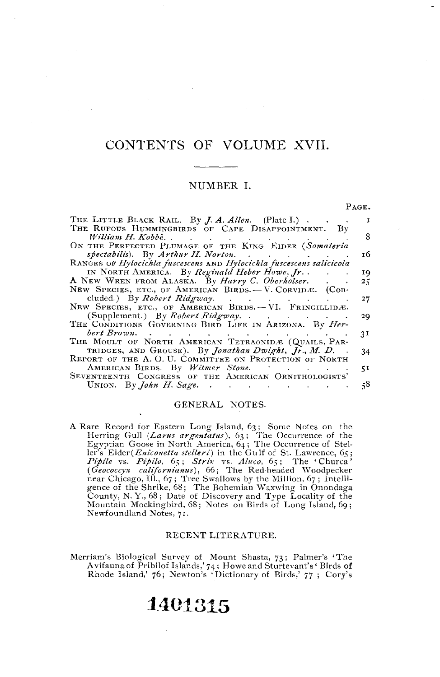## CONTENTS OF VOLUME XVII.

#### NUMBER I.

PAGE.

| THE LITTLE BLACK RAIL. By <i>J. A. Allen.</i> (Plate I.).            |     |
|----------------------------------------------------------------------|-----|
| THE RUFOUS HUMMINGBIRDS OF CAPE DISAPPOINTMENT. By                   |     |
|                                                                      | 8   |
| ON THE PERFECTED PLUMAGE OF THE KING EIDER (Somateria                |     |
| spectabilis). By Arthur H. Norton.                                   | 16. |
|                                                                      |     |
| RANGES OF Hylocichla fuscescens AND Hylocichla fuscescens salicicola |     |
| IN NORTH AMERICA. By Reginald Heber Howe, Jr. .                      | 19. |
| A NEW WREN FROM ALASKA. By Harry C. Oberholser.                      | 25  |
| NEW SPECIES, ETC., OF AMERICAN BIRDS. - V. CORVIDÆ. (COD-            |     |
| cluded.) By <i>Robert Ridgway</i> .                                  | 27  |
| NEW SPECIES, ETC., OF AMERICAN BIRDS. - VI. FRINGILLIDÆ.             |     |
| (Supplement.) By <i>Robert Ridgway</i> . $\ldots$                    |     |
|                                                                      | 29  |
| THE CONDITIONS GOVERNING BIRD LIFE IN ARIZONA. By Her-               |     |
| bert Brown.                                                          | 3I  |
| THE MOULT OF NORTH AMERICAN TETRAONIDE (QUAILS, PAR-                 |     |
| TRIDGES, AND GROUSE). By Jonathan Dwight, Jr., M. D                  | 34  |
| REPORT OF THE A.O. U. COMMITTEE ON PROTECTION OF NORTH               |     |
| AMERICAN BIRDS. By Witmer Stone.                                     |     |
|                                                                      | 51. |
| SEVENTEENTH CONGRESS OF THE AMERICAN ORNITHOLOGISTS'                 |     |
| UNION. By <i>John H. Sage.</i>                                       | 58  |

#### GENERAL NOTES.

A Rare Record for Eastern Long Island, 63; Some Notes on the Herring Gull (*Larus argentatus*), 63; The Occurrence of the Egyptian Goose in North America, 64; The Occurrence of Stel-Egyptian Goose in North America, 64; The Occurrence of Steller's Edder(*Eniconetta stelleri*) in the Gulf of St. Lawrence, 65; The "Churca"<br>*Pipile vs. Pipilo, 65; Strix vs. Aluco*, 65; The "Churca"<br>(*Geococcyx california* Mountain Mockingbird, 68; Notes on Birds of Long Island, 69; Newfoundland Notes, 71.

#### RECENT LITERATURE.

Merriam's Biological Survey of Mount Shasta, 73; Palmer's 'The Avitauna of Pribilof Islands, 74; Howe and Sturtevant's 'Birds of<br>Rhode Island, 76; Newton's 'Dictionary of Birds, 77; Cory's

# 1401315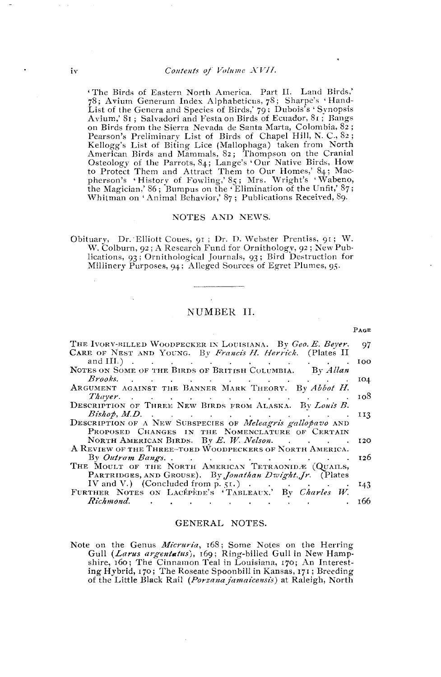'The Birds of Eastern North America. Part II. Land Birds,' 78; Avium Generum Index Alphabeticus, 78; Sharpe's 'Hand-List of the Genera and Species of Birds, 79; Dubois's 'Synopsis Avium,' S1; Salvadori and Festa on Birds of Ecuador, 81; Bangs on Birds from the Sierra Nevada de Santa Marta, Colombia, 82; Pearson's Preliminary List of Birds of Chapel Hill, N. C., 82; Fearson's Freuminary List of Birds of Chaper Fini, N. C., 02;<br>
Kellogg's List of Biting Lice (Mallophaga) taken from North<br>
American Birds and Mammals, 82; Thompson on the Cranial<br>
Absence of the Parrots, 84; Lange's 'Our

#### NOTES AND NEWS.

Obituary, Dr. Elliott Coues, 91; Dr. D. Webster Prentiss, 91; W. W. Colburn, 92; A Research Fund for Ornithology, 92; New Publications, 93; Ornithological Journals, 93; Bird Destruction for Millinery Purposes, 94; Alleged Sources of Egret Plumes, 95.

#### NUMBER II.

 $P_{\text{AGE}}$ 

| THE IVORY-BILLED WOODPECKER IN LOUISIANA. By Geo. E. Beyer.                                                                                                                                                                         | 97  |
|-------------------------------------------------------------------------------------------------------------------------------------------------------------------------------------------------------------------------------------|-----|
| CARE OF NEST AND YOUNG. By Francis H. Herrick. (Plates II                                                                                                                                                                           |     |
| and III.) $\cdots$ $\cdots$ $\cdots$ $\cdots$ $\cdots$ $\cdots$                                                                                                                                                                     | IOO |
| NOTES ON SOME OF THE BIRDS OF BRITISH COLUMBIA. By Allan                                                                                                                                                                            |     |
| $Brooks.$ $\qquad \qquad \ldots$ $\qquad \qquad \ldots$ $\qquad \qquad \ldots$ $\qquad \qquad \ldots$                                                                                                                               | 104 |
| ARGUMENT AGAINST THE BANNER MARK THEORY. By Abbot H.                                                                                                                                                                                |     |
| <i>Thayer</i> expected the contract of the contract of the contract of the contract of the contract of the contract of the contract of the contract of the contract of the contract of the contract of the contract of the contract | 108 |
| DESCRIPTION OF THREE NEW BIRDS FROM ALASKA. By Louis B.                                                                                                                                                                             |     |
|                                                                                                                                                                                                                                     | 113 |
| Bishop, M.D.<br>DESCRIPTION OF A NEW SUBSPECIES OF Meleagris gallopavo AND                                                                                                                                                          |     |
| PROPOSED CHANGES IN THE NOMENCLATURE OF CERTAIN                                                                                                                                                                                     |     |
| NORTH AMERICAN BIRDS. By E. W. Nelson. 120                                                                                                                                                                                          |     |
| A REVIEW OF THE THREE-TOED WOODPECKERS OF NORTH AMERICA.                                                                                                                                                                            |     |
|                                                                                                                                                                                                                                     |     |
| THE MOULT OF THE NORTH AMERICAN TETRAONIDE (QUAILS,                                                                                                                                                                                 |     |
| PARTRIDGES, AND GROUSE). By <i>Jonathan Dwight</i> , <i>Jr.</i> (Plates                                                                                                                                                             |     |
| IV and V.) (Concluded from p. 51.) $\ldots$ $\ldots$ $\ldots$                                                                                                                                                                       | 143 |
| FURTHER NOTES ON LACÉPEDE'S 'TABLEAUX.' By Charles W.                                                                                                                                                                               |     |
|                                                                                                                                                                                                                                     | 166 |

#### GENERAL NOTES.

|  |  |  |  | Note on the Genus <i>Micruria</i> , 168; Some Notes on the Herring |
|--|--|--|--|--------------------------------------------------------------------|
|  |  |  |  | Gull (Larus argentatus), 169; Ring-billed Gull in New Hamp-        |
|  |  |  |  | shire, 160; The Cinnamon Teal in Louisiana, 170; An Interest-      |
|  |  |  |  | ing Hybrid, 170; The Roseate Spoonbill in Kansas, 171; Breeding    |
|  |  |  |  | of the Little Black Rail (Porzana jamaicensis) at Raleigh, North   |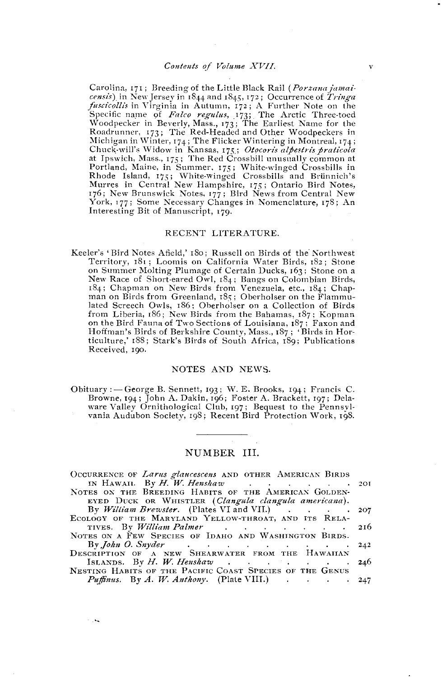$\overline{\mathbf{v}}$ 

Carolina, 171; Breeding of the Little Black Rail (*Porzana jamai*censis) in New Jersey in 1844 and 1845, 172; Occurrence of Tringa fuscicollis in Virginia in Autumn, 172; A Further Note on the Specific name of Falco regulus, 173; The Arctic Three-toed<br>Woodpecker in Beverly, Mass., 173; The Earliest Name for the Roadrunner, 173; The Red-Headed and Other Woodpeckers in Roadrumer, 173; The Red-Headed and Other Woodpeckers in<br>Michigan in Winter, 174; The Flicker Wintering in Montreal, 174;<br>Chuck-will's Widow in Kansas, 175; Oteceris alpestris praticola<br>at Ipswich, Mass., 175; The Red Cros Interesting Bit of Manuscript, 179.

#### RECENT LITERATURE.

Keeler's 'Bird Notes Afield,' 180; Russell on Birds of the Northwest Territory, 181; Loomis on California Water Birds, 182; Stone on Summer Molting Plumage of Certain Ducks, 163; Stone on a New Race of Short-eared Owl, 184; Bangs on Colombian Birds, 184; Chapman on New Birds from Venezuela, etc., 184; Chapman on Birds from Greenland, 185; Oberholser on the Flammulated Screech Owls, 186; Oberholser on a Collection of Birds from Liberia, 186; New Birds from the Bahamas, 187; Kopman on the Bird Fauna of Two Sections of Louisiana, 187; Faxon and Hoffman's Birds of Berkshire County, Mass., 187; 'Birds in Horticulture,' 188; Stark's Birds of South Africa, 189; Publications Received, 190.

#### NOTES AND NEWS.

Obituary : - George B. Sennett, 193; W. E. Brooks, 194; Francis C. Browne, 194; John A. Dakin, 196; Foster A. Brackett, 197; Delaware Valley Ornithological Club, 197; Bequest to the Pennsylvania Audubon Society, 198; Recent Bird Protection Work, 198.

#### NUMBER III.

| OCCURRENCE OF Larus glaucescens AND OTHER AMERICAN BIRDS |  |
|----------------------------------------------------------|--|
| IN HAWAII. By $H$ , $W$ . Henshaw 201                    |  |
| NOTES ON THE BREEDING HABITS OF THE AMERICAN GOLDEN-     |  |
| EYED DUCK OR WHISTLER (Clangula clangula americana).     |  |
| By William Brewster. (Plates VI and VII.) 207            |  |
| ECOLOGY OF THE MARYLAND YELLOW-THROAT, AND ITS RELA-     |  |
| TIVES. By William Palmer 216                             |  |
| NOTES ON A FEW SPECIES OF IDAHO AND WASHINGTON BIRDS.    |  |
| By $John$ O. Snyder 242                                  |  |
| DESCRIPTION OF A NEW SHEARWATER FROM THE HAWAIIAN        |  |
| ISLANDS. By H. W. Henshaw 246                            |  |
| NESTING HABITS OF THE PACIFIC COAST SPECIES OF THE GENUS |  |
| <i>Puffinus.</i> By A. W. Anthony. (Plate VIII.) 247     |  |

i, ka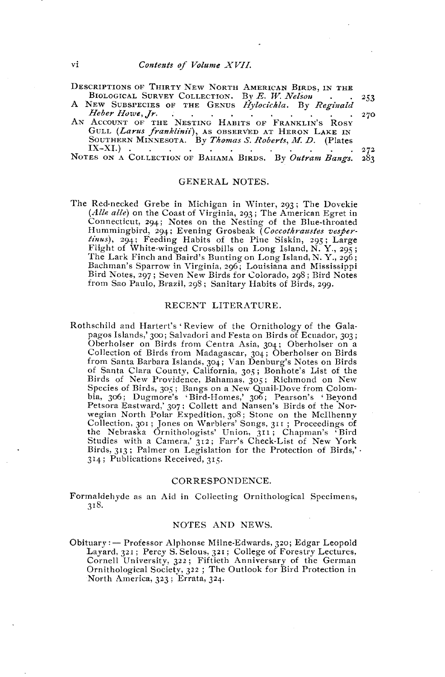- DESCRIPTIONS OF THIRTY NEW NORTH AMERICAN BIRDS, IN THE BIOLOGICAL SURVEY COLLECTION. By E. W. Nelson 253
- A NEW SUBSPECIES OF THE GENUS Hylocichla. By Reginald Heber Howe, Jr. 270
- Heber Howe, Jr.<br>AN ACCOUNT OF THE NESTING HABITS OF FRANKLIN'S ROST GULL (Larus franklinii), AS OBSERVED AT HERON LAKE IN SOUTHERN MINNESOTA. By Thomas S. Roberts, M. D. (Plates  $IX-XI$ . 272 NOTES ON A COLLECTION OF BAHAMA BIRDS. By Outram Bangs.  $283$

#### GENERAL NOTES.

The Red-necked Grebe in Michigan in Winter, 293; The Dovekie (Alle alle) on the Coast of Virginia, 293; The American Egret in Connecticut, 294; Notes on the Nesting of the Blue-throated Hummingbird, 294; Evening Grosbeak (Coccothraustes vesperrinns), 294; Feeding Habits of the Pine Siskin, 295; Large<br>Flight of White-winged Crossbills on Long Island, N. Y., 295;<br>The Lark Finch and Baird's Bunting on Long Island, N. Y., 295;<br>Bachman's Sparrow in Virginia, 296; Lo Bird Notes, 297; Seven New Birds for Colorado, 298; Bird Notes from Sao Paulo, Brazil, 298; Sanitary Habits of Birds, 299.

#### RECENT LITERATURE.

Rothschild and Hartert's 'Review of the Ornithology of the Galapagos Islands,' 300; Salvadori and Festa on Birds of Ecuador, 303; Oberholser on Birds from Centra Asia, 304; Oberholser on a Collection of Birds from Madagascar, 304; Oberholser on Birds from Santa Barbara Islands, 304; Van Denburg's Notes on Birds of Santa Clara County, California, 305; Bonhote's List of the Birds of New Providence, Bahamas, 305; Richmond on New Species of Birds, 305; Bangs on a New Quail-Dove from Colombia, 306; Dugmore's 'Bird-Homes,' 306; Pearson's 'Beyond<br>Petsora Eastward,' 307; Collett and Nansen's Birds of the Norwegian North Polar Expedition, 308; Stone on the McIlhenny Collection, 301; Jones on Warblers' Songs, 311; Proceedings of<br>the Nebraska Ornithologists' Union, 311; Chapman's 'Bird<br>Studies with a Camera,' 312; Farr's Check-List of New York Birds, 313; Palmer on Legislation for the Protection of Birds,' . 314; Publications Received, 315.

#### CORRESPONDENCE.

Formaldehyde as an Aid in Collecting Ornithological Specimens, 318.

#### NOTES AND NEWS.

Obituary: - Professor Alphonse Milne-Edwards, 320; Edgar Leopold Layard, 321; Percy S. Selous, 321; College of Forestry Lectures, Cornell University, 322; Fiftieth Anniversary of the German Ornithological Society, 322 ; The Outlook for Bird Protection in North America, 323; Errata, 324.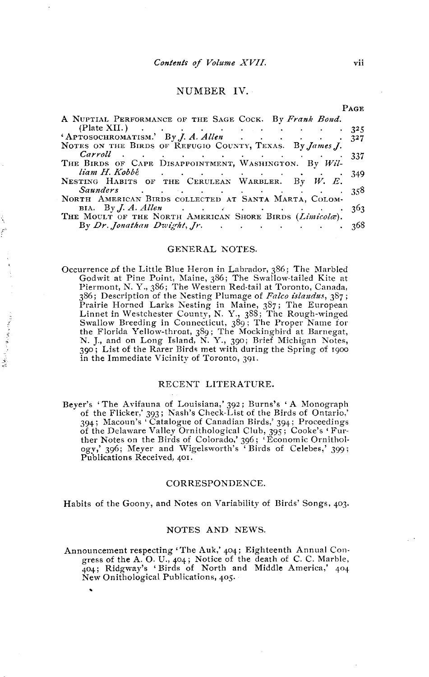#### NUMBER IV.

| (Plate XII.) $\cdots$ $\cdots$ $\cdots$ $\cdots$ $\cdots$ $\cdots$ $\cdots$ 325                                |
|----------------------------------------------------------------------------------------------------------------|
| APTOSOCHROMATISM.' By J. A. Allen 327                                                                          |
|                                                                                                                |
| $Carroll$ 337                                                                                                  |
|                                                                                                                |
| liam H. Kobbé de contra de la contra de la contra de la contra de la contra de la contra de la contra de la co |
|                                                                                                                |
| Saunders 358                                                                                                   |
|                                                                                                                |
| BIA. By J. A. Allen<br>THE MOULT OF THE NORTH AMERICAN SHORE BIRDS ( <i>Limicola</i> ).                        |
|                                                                                                                |
| By $Dr.$ Jonathan Dwight, $Jr$ . 368                                                                           |
|                                                                                                                |

#### **GENERAL NOTES.**

Occurrence of the Little Blue Heron in Labrador, 386; The Marbled Godwit at Pine Point, Maine, 386; The Swallow-tailed Kite at Piermont, N. Y., 386; The Western Red-tail at Toronto, Canada, 386; Description of the Nesting Plumage of Falco islandus, 387; Prairie Horned Larks Nesting in Maine, 387; The European<br>Linnet in Westchester County, N. Y., 388; The Rough-winged<br>Swallow Breeding in Connecticut, 389; The Proper Name for the Florida Yellow-throat, 389; The Mockingbird at Barnegat, N. J., and on Long Island, N. Y., 390; Brief Michigan Notes, 399; List of the Rarer Birds met with during the Spring of 1900 in the Immediate Vicinity of Toronto, 391.

#### RECENT LITERATURE.

Beyer's 'The Avifauna of Louisiana,' 392; Burns's 'A Monograph<br>of the Flicker,' 393; Nash's Check-List of the Birds of Ontario,'<br>394; Macoun's 'Catalogue of Canadian Birds,' 394; Proceedings 374, Straward Valley Ornithological Club, 395; Cooke's 'Fur-<br>ther Notes on the Birds of Colorado,' 396; 'Economic Ornithology,' 396; Meyer and Wigelsworth's 'Birds of Celebes,' 399; Publications Received, 401.

#### CORRESPONDENCE.

Habits of the Goony, and Notes on Variability of Birds' Songs, 403.

#### NOTES AND NEWS.

Announcement respecting 'The Auk,' 404; Eighteenth Annual Congress of the A.O. U., 404; Notice of the death of C.C. Marble,<br>404; Ridgway's 'Birds of North and Middle America,' 404 New Onithological Publications, 405.

 $\label{eq:Gauss} \frac{1}{N} \left( \frac{1}{N} \left( \left| \mathcal{L}_{\mathcal{M}} \right| \right) \left| \mathcal{L}_{\mathcal{M}} \right| \left| \mathcal{L}_{\mathcal{M}} \right| \right) \left| \mathcal{L}_{\mathcal{M}} \right| \leq \frac{1}{N} \left( \left| \mathcal{L}_{\mathcal{M}} \right| \right) \left| \mathcal{L}_{\mathcal{M}} \right| \leq \frac{1}{N} \left( \left| \mathcal{L}_{\mathcal{M}} \right| \right) \left| \mathcal{L}_{\mathcal{M}} \right| \leq \frac{1}{N}$ 

PACE